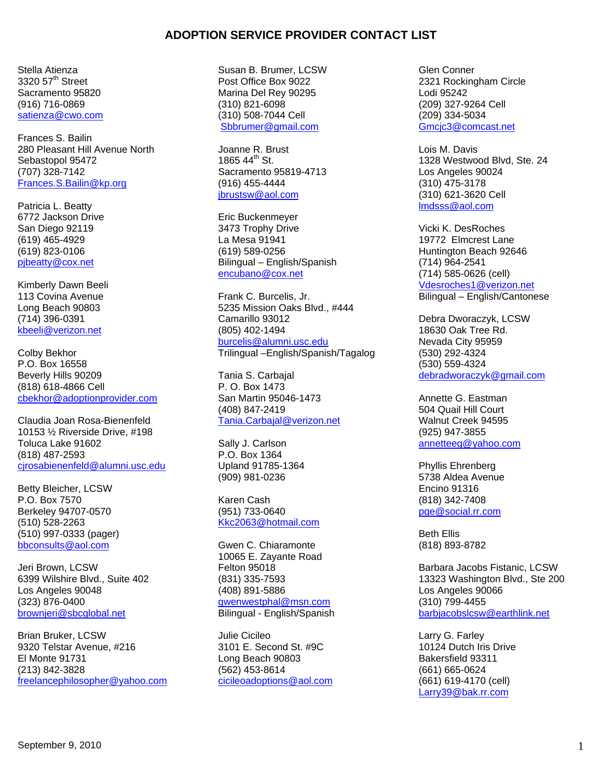Stella Atienza  $3320.57<sup>th</sup>$  Street Sacramento 95820 (916) 716-0869 satienza@cwo.com

Frances S. Bailin 280 Pleasant Hill Avenue North Sebastopol 95472 (707) 328-7142 Frances.S.Bailin@kp.org

Patricia L. Beatty 6772 Jackson Drive San Diego 92119 (619) 465-4929 (619) 823-0106 pjbeatty@cox.net

Kimberly Dawn Beeli 113 Covina Avenue Long Beach 90803 (714) 396-0391 kbeeli@verizon.net

Colby Bekhor P.O. Box 16558 Beverly Hills 90209 (818) 618-4866 Cell cbekhor@adoptionprovider.com

Claudia Joan Rosa-Bienenfeld 10153 ½ Riverside Drive, #198 Toluca Lake 91602 (818) 487-2593 cjrosabienenfeld@alumni.usc.edu

Betty Bleicher, LCSW P.O. Box 7570 Berkeley 94707-0570 (510) 528-2263 (510) 997-0333 (pager) bbconsults@aol.com

Jeri Brown, LCSW 6399 Wilshire Blvd., Suite 402 Los Angeles 90048 (323) 876-0400 brownjeri@sbcglobal.net

Brian Bruker, LCSW 9320 Telstar Avenue, #216 El Monte 91731 (213) 842-3828 freelancephilosopher@yahoo.com Susan B. Brumer, LCSW Post Office Box 9022 Marina Del Rey 90295 (310) 821-6098 (310) 508-7044 Cell Sbbrumer@gmail.com

Joanne R. Brust  $1865,44^{\text{th}}$  St. Sacramento 95819-4713 (916) 455-4444 jbrustsw@aol.com

Eric Buckenmeyer 3473 Trophy Drive La Mesa 91941 (619) 589-0256 Bilingual – English/Spanish encubano@cox.net

Frank C. Burcelis, Jr. 5235 Mission Oaks Blvd., #444 Camarillo 93012 (805) 402-1494 burcelis@alumni.usc.edu Trilingual –English/Spanish/Tagalog

Tania S. Carbajal P. O. Box 1473 San Martin 95046-1473 (408) 847-2419 Tania.Carbajal@verizon.net

Sally J. Carlson P.O. Box 1364 Upland 91785-1364 (909) 981-0236

Karen Cash (951) 733-0640 Kkc2063@hotmail.com

Gwen C. Chiaramonte 10065 E. Zayante Road Felton 95018 (831) 335-7593 (408) 891-5886 gwenwestphal@msn.com Bilingual - English/Spanish

Julie Cicileo 3101 E. Second St. #9C Long Beach 90803 (562) 453-8614 cicileoadoptions@aol.com

Glen Conner 2321 Rockingham Circle Lodi 95242 (209) 327-9264 Cell (209) 334-5034 Gmcjc3@comcast.net

Lois M. Davis 1328 Westwood Blvd, Ste. 24 Los Angeles 90024 (310) 475-3178 (310) 621-3620 Cell lmdsss@aol.com

Vicki K. DesRoches 19772 Elmcrest Lane Huntington Beach 92646 (714) 964-2541 (714) 585-0626 (cell) Vdesroches1@verizon.net Bilingual – English/Cantonese

Debra Dworaczyk, LCSW 18630 Oak Tree Rd. Nevada City 95959 (530) 292-4324 (530) 559-4324 debradworaczyk@gmail.com

Annette G. Eastman 504 Quail Hill Court Walnut Creek 94595 (925) 947-3855 annetteeg@yahoo.com

Phyllis Ehrenberg 5738 Aldea Avenue Encino 91316 (818) 342-7408 pge@social.rr.com

Beth Ellis (818) 893-8782

Barbara Jacobs Fistanic, LCSW 13323 Washington Blvd., Ste 200 Los Angeles 90066 (310) 799-4455 barbjacobslcsw@earthlink.net

Larry G. Farley 10124 Dutch Iris Drive Bakersfield 93311 (661) 665-0624 (661) 619-4170 (cell) Larry39@bak.rr.com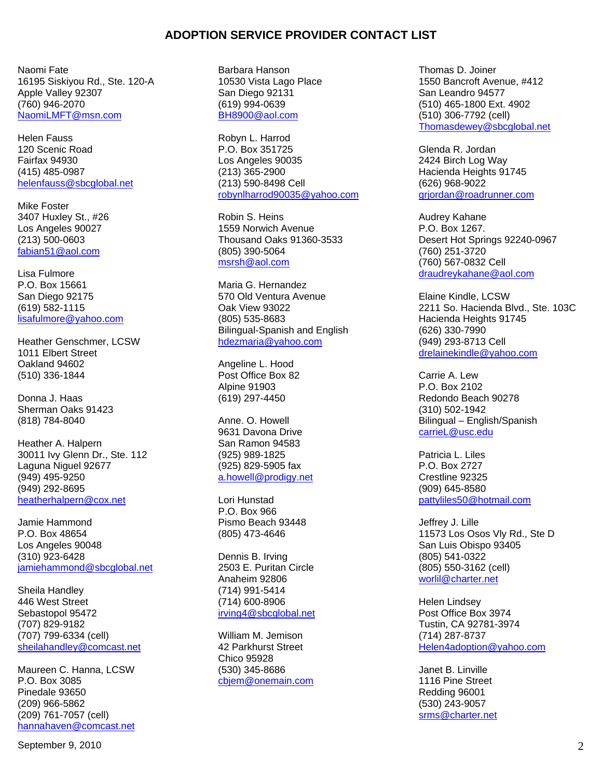Naomi Fate 16195 Siskiyou Rd., Ste. 120-A Apple Valley 92307 (760) 946-2070 NaomiLMFT@msn.com

Helen Fauss 120 Scenic Road Fairfax 94930 (415) 485-0987 helenfauss@sbcglobal.net

Mike Foster 3407 Huxley St., #26 Los Angeles 90027 (213) 500-0603 fabian51@aol.com

Lisa Fulmore P.O. Box 15661 San Diego 92175 (619) 582-1115 lisafulmore@yahoo.com

Heather Genschmer, LCSW 1011 Elbert Street Oakland 94602 (510) 336-1844

Donna J. Haas Sherman Oaks 91423 (818) 784-8040

Heather A. Halpern 30011 Ivy Glenn Dr., Ste. 112 Laguna Niguel 92677 (949) 495-9250 (949) 292-8695 heatherhalpern@cox.net

Jamie Hammond P.O. Box 48654 Los Angeles 90048 (310) 923-6428 jamiehammond@sbcglobal.net

Sheila Handley 446 West Street Sebastopol 95472 (707) 829-9182 (707) 799-6334 (cell) sheilahandley@comcast.net

Maureen C. Hanna, LCSW P.O. Box 3085 Pinedale 93650 (209) 966-5862 (209) 761-7057 (cell) hannahaven@comcast.net Barbara Hanson 10530 Vista Lago Place San Diego 92131 (619) 994-0639 BH8900@aol.com

Robyn L. Harrod P.O. Box 351725 Los Angeles 90035 (213) 365-2900 (213) 590-8498 Cell robynlharrod90035@yahoo.com

Robin S. Heins 1559 Norwich Avenue Thousand Oaks 91360-3533 (805) 390-5064 msrsh@aol.com

Maria G. Hernandez 570 Old Ventura Avenue Oak View 93022 (805) 535-8683 Bilingual-Spanish and English hdezmaria@yahoo.com

Angeline L. Hood Post Office Box 82 Alpine 91903 (619) 297-4450

Anne. O. Howell 9631 Davona Drive San Ramon 94583 (925) 989-1825 (925) 829-5905 fax a.howell@prodigy.net

Lori Hunstad P.O. Box 966 Pismo Beach 93448 (805) 473-4646

Dennis B. Irving 2503 E. Puritan Circle Anaheim 92806 (714) 991-5414 (714) 600-8906 irving4@sbcglobal.net

William M. Jemison 42 Parkhurst Street Chico 95928 (530) 345-8686 cbjem@onemain.com Thomas D. Joiner 1550 Bancroft Avenue, #412 San Leandro 94577 (510) 465-1800 Ext. 4902 (510) 306-7792 (cell) Thomasdewey@sbcglobal.net

Glenda R. Jordan 2424 Birch Log Way Hacienda Heights 91745 (626) 968-9022 grjordan@roadrunner.com

Audrey Kahane P.O. Box 1267. Desert Hot Springs 92240-0967 (760) 251-3720 (760) 567-0832 Cell draudreykahane@aol.com

Elaine Kindle, LCSW 2211 So. Hacienda Blvd., Ste. 103C Hacienda Heights 91745 (626) 330-7990 (949) 293-8713 Cell drelainekindle@yahoo.com

Carrie A. Lew P.O. Box 2102 Redondo Beach 90278 (310) 502-1942 Bilingual – English/Spanish carrieL@usc.edu

Patricia L. Liles P.O. Box 2727 Crestline 92325 (909) 645-8580 pattyliles50@hotmail.com

Jeffrey J. Lille 11573 Los Osos Vly Rd., Ste D San Luis Obispo 93405 (805) 541-0322 (805) 550-3162 (cell) worlil@charter.net

Helen Lindsey Post Office Box 3974 Tustin, CA 92781-3974 (714) 287-8737 Helen4adoption@yahoo.com

Janet B. Linville 1116 Pine Street Redding 96001 (530) 243-9057 srms@charter.net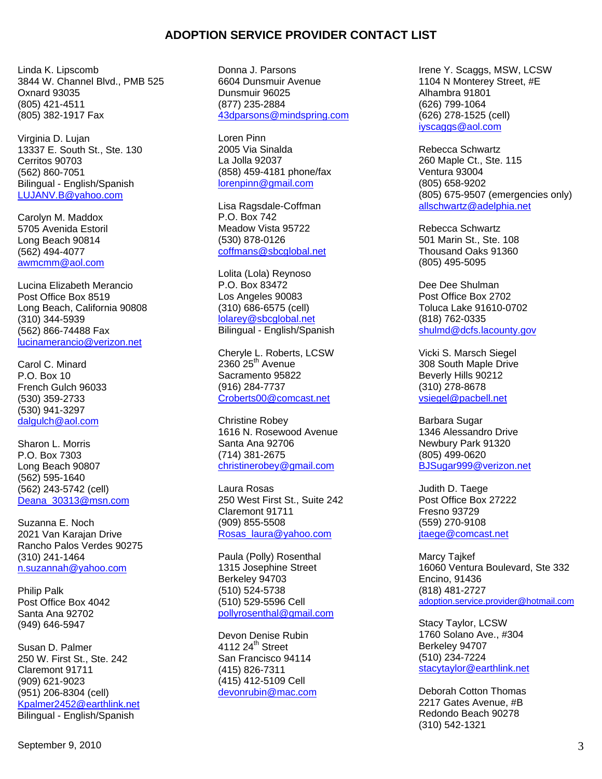Linda K. Lipscomb 3844 W. Channel Blvd., PMB 525 Oxnard 93035 (805) 421-4511 (805) 382-1917 Fax

Virginia D. Lujan 13337 E. South St., Ste. 130 Cerritos 90703 (562) 860-7051 Bilingual - English/Spanish LUJANV.B@yahoo.com

Carolyn M. Maddox 5705 Avenida Estoril Long Beach 90814 (562) 494-4077 awmcmm@aol.com

Lucina Elizabeth Merancio Post Office Box 8519 Long Beach, California 90808 (310) 344-5939 (562) 866-74488 Fax lucinamerancio@verizon.net

Carol C. Minard P.O. Box 10 French Gulch 96033 (530) 359-2733 (530) 941-3297 dalgulch@aol.com

Sharon L. Morris P.O. Box 7303 Long Beach 90807 (562) 595-1640 (562) 243-5742 (cell) Deana\_30313@msn.com

Suzanna E. Noch 2021 Van Karajan Drive Rancho Palos Verdes 90275 (310) 241-1464 n.suzannah@yahoo.com

Philip Palk Post Office Box 4042 Santa Ana 92702 (949) 646-5947

Susan D. Palmer 250 W. First St., Ste. 242 Claremont 91711 (909) 621-9023 (951) 206-8304 (cell) Kpalmer2452@earthlink.net Bilingual - English/Spanish

Donna J. Parsons 6604 Dunsmuir Avenue Dunsmuir 96025 (877) 235-2884 43dparsons@mindspring.com

Loren Pinn 2005 Via Sinalda La Jolla 92037 (858) 459-4181 phone/fax lorenpinn@gmail.com

Lisa Ragsdale-Coffman P.O. Box 742 Meadow Vista 95722 (530) 878-0126 coffmans@sbcglobal.net

Lolita (Lola) Reynoso P.O. Box 83472 Los Angeles 90083 (310) 686-6575 (cell) lolarey@sbcglobal.net Bilingual - English/Spanish

Cheryle L. Roberts, LCSW  $2360$   $25<sup>th</sup>$  Avenue Sacramento 95822 (916) 284-7737 Croberts00@comcast.net

Christine Robey 1616 N. Rosewood Avenue Santa Ana 92706 (714) 381-2675 christinerobey@gmail.com

Laura Rosas 250 West First St., Suite 242 Claremont 91711 (909) 855-5508 Rosas\_laura@yahoo.com

Paula (Polly) Rosenthal 1315 Josephine Street Berkeley 94703 (510) 524-5738 (510) 529-5596 Cell pollyrosenthal@gmail.com

Devon Denise Rubin 4112  $24^{\text{th}}$  Street San Francisco 94114 (415) 826-7311 (415) 412-5109 Cell devonrubin@mac.com Irene Y. Scaggs, MSW, LCSW 1104 N Monterey Street, #E Alhambra 91801 (626) 799-1064 (626) 278-1525 (cell) iyscaggs@aol.com

Rebecca Schwartz 260 Maple Ct., Ste. 115 Ventura 93004 (805) 658-9202 (805) 675-9507 (emergencies only) allschwartz@adelphia.net

Rebecca Schwartz 501 Marin St., Ste. 108 Thousand Oaks 91360 (805) 495-5095

Dee Dee Shulman Post Office Box 2702 Toluca Lake 91610-0702 (818) 762-0335 shulmd@dcfs.lacounty.gov

Vicki S. Marsch Siegel 308 South Maple Drive Beverly Hills 90212 (310) 278-8678 vsiegel@pacbell.net

Barbara Sugar 1346 Alessandro Drive Newbury Park 91320 (805) 499-0620 BJSugar999@verizon.net

Judith D. Taege Post Office Box 27222 Fresno 93729 (559) 270-9108 jtaege@comcast.net

Marcy Tajkef 16060 Ventura Boulevard, Ste 332 Encino, 91436 (818) 481-2727 adoption.service.provider@hotmail.com

Stacy Taylor, LCSW 1760 Solano Ave., #304 Berkeley 94707 (510) 234-7224 stacytaylor@earthlink.net

Deborah Cotton Thomas 2217 Gates Avenue, #B Redondo Beach 90278 (310) 542-1321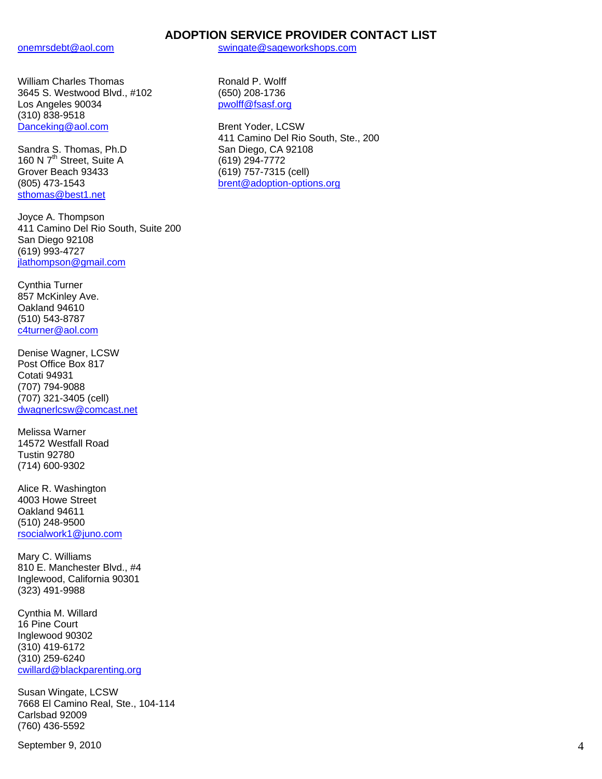onemrsdebt@aol.com

William Charles Thomas 3645 S. Westwood Blvd., #102 Los Angeles 90034 (310) 838-9518 Danceking@aol.com

Sandra S. Thomas, Ph.D 160 N 7<sup>th</sup> Street, Suite A Grover Beach 93433 (805) 473-1543 sthomas@best1.net

Joyce A. Thompson 411 Camino Del Rio South, Suite 200 San Diego 92108 (619) 993-4727 jlathompson@gmail.com

Cynthia Turner 857 McKinley Ave. Oakland 94610 (510) 543-8787 c4turner@aol.com

Denise Wagner, LCSW Post Office Box 817 Cotati 94931 (707) 794-9088 (707) 321-3405 (cell) dwagnerlcsw@comcast.net

Melissa Warner 14572 Westfall Road Tustin 92780 (714) 600-9302

Alice R. Washington 4003 Howe Street Oakland 94611 (510) 248-9500 rsocialwork1@juno.com

Mary C. Williams 810 E. Manchester Blvd., #4 Inglewood, California 90301 (323) 491-9988

Cynthia M. Willard 16 Pine Court Inglewood 90302 (310) 419-6172 (310) 259-6240 cwillard@blackparenting.org

Susan Wingate, LCSW 7668 El Camino Real, Ste., 104-114 Carlsbad 92009 (760) 436-5592

```
September 9, 2010 4 and 2010 4 and 2010 4 and 2010 4 and 2010 4 and 2010 4 and 2010 4 and 2010 4 and 2010 4 and 2010 4 and 2010 4 and 2010 4 and 2010 4 and 2010 4 and 2010 4 and 2010 4 and 2010 4 and 2010 4 and 2010 4 and
```
swingate@sageworkshops.com

Ronald P. Wolff (650) 208-1736 pwolff@fsasf.org

Brent Yoder, LCSW 411 Camino Del Rio South, Ste., 200 San Diego, CA 92108 (619) 294-7772 (619) 757-7315 (cell) brent@adoption-options.org